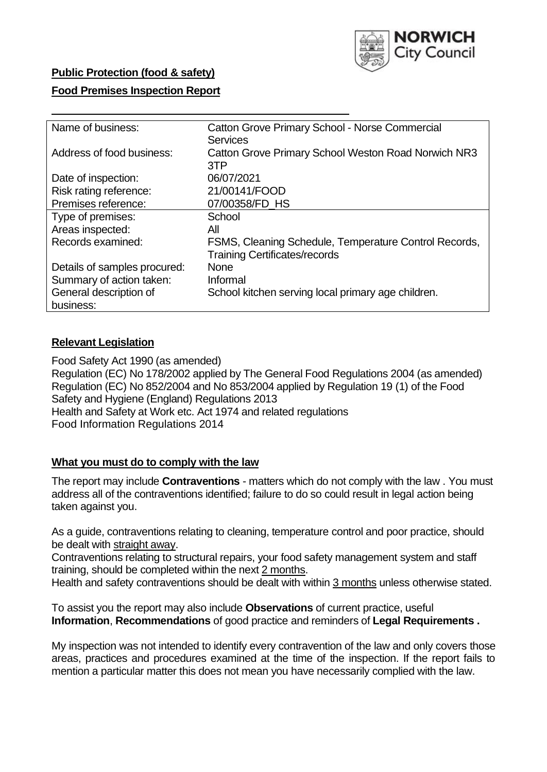

# **Public Protection (food & safety)**

### **Food Premises Inspection Report**

| Name of business:            | <b>Catton Grove Primary School - Norse Commercial</b>      |
|------------------------------|------------------------------------------------------------|
|                              | <b>Services</b>                                            |
| Address of food business:    | <b>Catton Grove Primary School Weston Road Norwich NR3</b> |
|                              | 3TP                                                        |
| Date of inspection:          | 06/07/2021                                                 |
| Risk rating reference:       | 21/00141/FOOD                                              |
| Premises reference:          | 07/00358/FD HS                                             |
| Type of premises:            | School                                                     |
| Areas inspected:             | All                                                        |
| Records examined:            | FSMS, Cleaning Schedule, Temperature Control Records,      |
|                              | <b>Training Certificates/records</b>                       |
| Details of samples procured: | <b>None</b>                                                |
| Summary of action taken:     | Informal                                                   |
| General description of       | School kitchen serving local primary age children.         |
| business:                    |                                                            |

## **Relevant Legislation**

 Food Safety Act 1990 (as amended) Regulation (EC) No 178/2002 applied by The General Food Regulations 2004 (as amended) Regulation (EC) No 852/2004 and No 853/2004 applied by Regulation 19 (1) of the Food Safety and Hygiene (England) Regulations 2013 Health and Safety at Work etc. Act 1974 and related regulations Food Information Regulations 2014

### **What you must do to comply with the law**

 The report may include **Contraventions** - matters which do not comply with the law . You must address all of the contraventions identified; failure to do so could result in legal action being taken against you.

 As a guide, contraventions relating to cleaning, temperature control and poor practice, should be dealt with straight away.

 Contraventions relating to structural repairs, your food safety management system and staff training, should be completed within the next 2 months.

Health and safety contraventions should be dealt with within 3 months unless otherwise stated.

 To assist you the report may also include **Observations** of current practice, useful **Information**, **Recommendations** of good practice and reminders of **Legal Requirements .** 

 My inspection was not intended to identify every contravention of the law and only covers those areas, practices and procedures examined at the time of the inspection. If the report fails to mention a particular matter this does not mean you have necessarily complied with the law.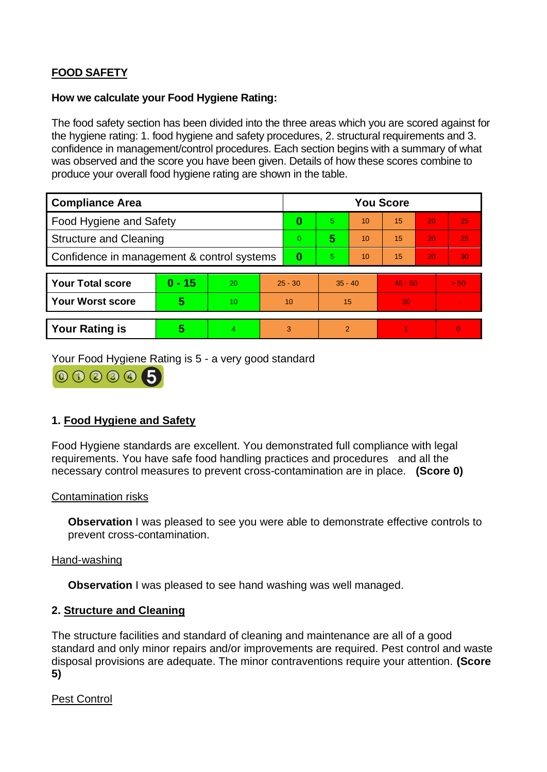# **FOOD SAFETY**

### **How we calculate your Food Hygiene Rating:**

 The food safety section has been divided into the three areas which you are scored against for the hygiene rating: 1. food hygiene and safety procedures, 2. structural requirements and 3. confidence in management/control procedures. Each section begins with a summary of what was observed and the score you have been given. Details of how these scores combine to produce your overall food hygiene rating are shown in the table.

| <b>Compliance Area</b>                     |          |                |                | <b>You Score</b> |                |    |           |    |                |  |  |
|--------------------------------------------|----------|----------------|----------------|------------------|----------------|----|-----------|----|----------------|--|--|
| <b>Food Hygiene and Safety</b>             |          |                | 0              | 5.               | 10             | 15 | 20        | 25 |                |  |  |
| <b>Structure and Cleaning</b>              |          |                | $\overline{0}$ | 5                | 10             | 15 | 20        | 25 |                |  |  |
| Confidence in management & control systems |          |                | $\bf{0}$       | 5                | 10             | 15 | 20        | 30 |                |  |  |
|                                            |          |                |                |                  |                |    |           |    |                |  |  |
| <b>Your Total score</b>                    | $0 - 15$ | 20             | $25 - 30$      |                  | $35 - 40$      |    | $45 - 50$ |    | > 50           |  |  |
| <b>Your Worst score</b>                    | 5        | 10             | 10             |                  | 15             |    | 20        |    |                |  |  |
|                                            |          |                |                |                  |                |    |           |    |                |  |  |
| <b>Your Rating is</b>                      | 5        | $\overline{4}$ | 3              |                  | $\overline{2}$ |    |           |    | $\overline{0}$ |  |  |

Your Food Hygiene Rating is 5 - a very good standard



# **1. Food Hygiene and Safety**

 requirements. You have safe food handling practices and procedures and all the Food Hygiene standards are excellent. You demonstrated full compliance with legal necessary control measures to prevent cross-contamination are in place. **(Score 0)** 

### Contamination risks

**Observation** I was pleased to see you were able to demonstrate effective controls to prevent cross-contamination.

### Hand-washing

**Observation** I was pleased to see hand washing was well managed.

### **2. Structure and Cleaning**

The structure facilities and standard of cleaning and maintenance are all of a good standard and only minor repairs and/or improvements are required. Pest control and waste disposal provisions are adequate. The minor contraventions require your attention. **(Score 5)** 

Pest Control